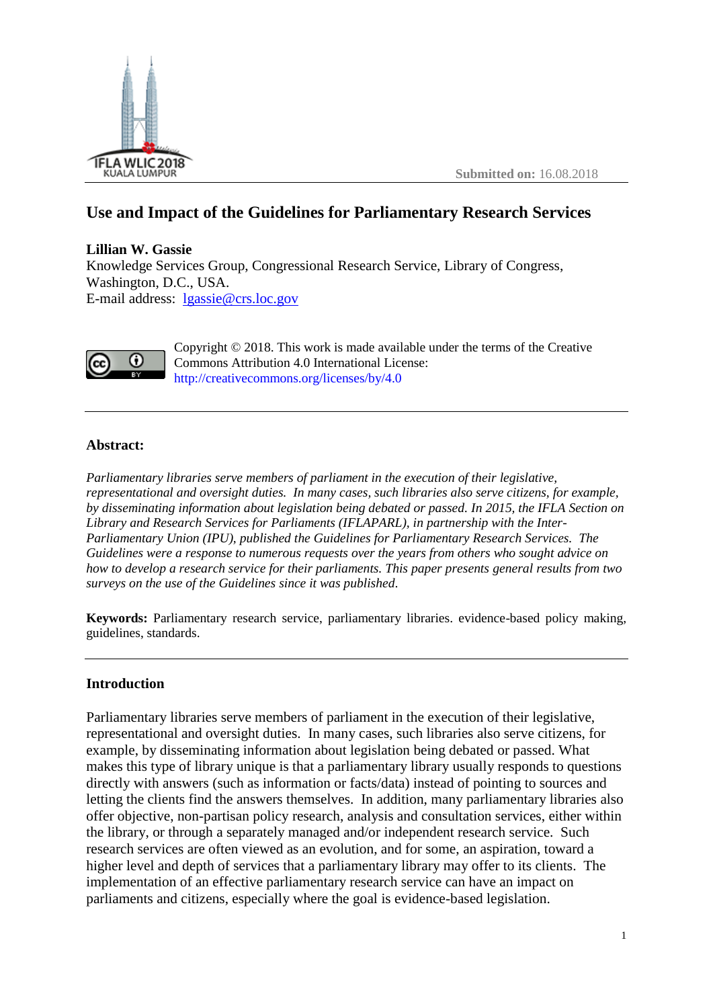

# **Use and Impact of the Guidelines for Parliamentary Research Services**

**Lillian W. Gassie** Knowledge Services Group, Congressional Research Service, Library of Congress, Washington, D.C., USA. E-mail address: [lgassie@crs.loc.gov](mailto:lgassie@crs.loc.gov)



Copyright © 2018. This work is made available under the terms of the Creative Commons Attribution 4.0 International License: <http://creativecommons.org/licenses/by/4.0>

## **Abstract:**

*Parliamentary libraries serve members of parliament in the execution of their legislative, representational and oversight duties. In many cases, such libraries also serve citizens, for example, by disseminating information about legislation being debated or passed. In 2015, the IFLA Section on Library and Research Services for Parliaments (IFLAPARL), in partnership with the Inter-Parliamentary Union (IPU), published the Guidelines for Parliamentary Research Services. The Guidelines were a response to numerous requests over the years from others who sought advice on how to develop a research service for their parliaments. This paper presents general results from two surveys on the use of the Guidelines since it was published.*

**Keywords:** Parliamentary research service, parliamentary libraries. evidence-based policy making, guidelines, standards.

## **Introduction**

Parliamentary libraries serve members of parliament in the execution of their legislative, representational and oversight duties. In many cases, such libraries also serve citizens, for example, by disseminating information about legislation being debated or passed. What makes this type of library unique is that a parliamentary library usually responds to questions directly with answers (such as information or facts/data) instead of pointing to sources and letting the clients find the answers themselves. In addition, many parliamentary libraries also offer objective, non-partisan policy research, analysis and consultation services, either within the library, or through a separately managed and/or independent research service. Such research services are often viewed as an evolution, and for some, an aspiration, toward a higher level and depth of services that a parliamentary library may offer to its clients. The implementation of an effective parliamentary research service can have an impact on parliaments and citizens, especially where the goal is evidence-based legislation.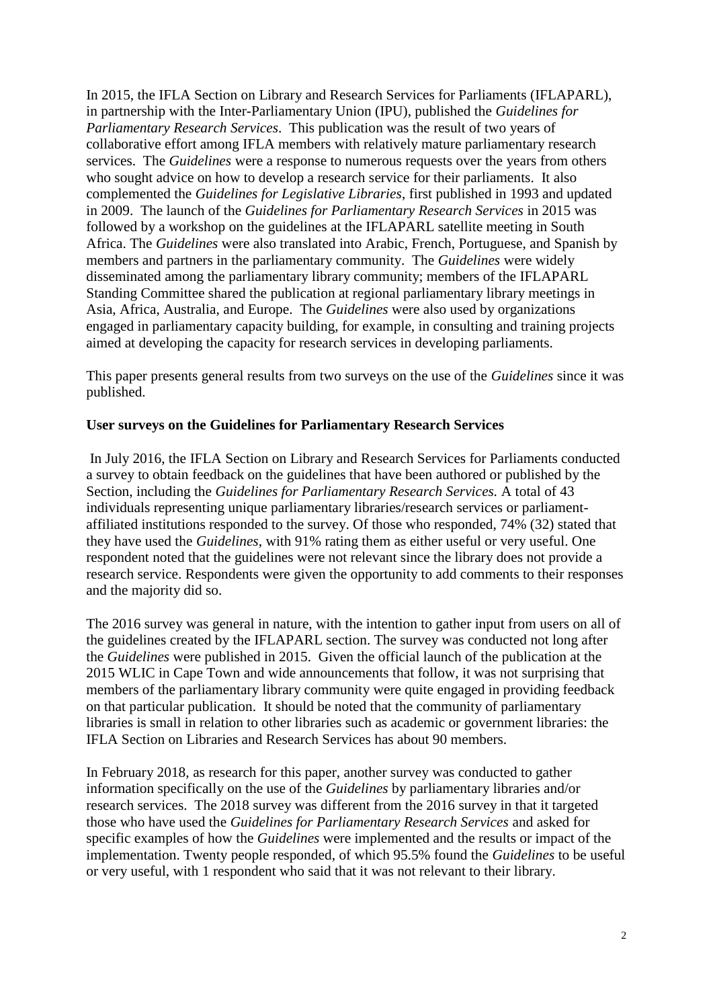In 2015, the IFLA Section on Library and Research Services for Parliaments (IFLAPARL), in partnership with the Inter-Parliamentary Union (IPU), published the *Guidelines for Parliamentary Research Services*. This publication was the result of two years of collaborative effort among IFLA members with relatively mature parliamentary research services. The *Guidelines* were a response to numerous requests over the years from others who sought advice on how to develop a research service for their parliaments. It also complemented the *Guidelines for Legislative Libraries*, first published in 1993 and updated in 2009. The launch of the *Guidelines for Parliamentary Research Services* in 2015 was followed by a workshop on the guidelines at the IFLAPARL satellite meeting in South Africa. The *Guidelines* were also translated into Arabic, French, Portuguese, and Spanish by members and partners in the parliamentary community. The *Guidelines* were widely disseminated among the parliamentary library community; members of the IFLAPARL Standing Committee shared the publication at regional parliamentary library meetings in Asia, Africa, Australia, and Europe. The *Guidelines* were also used by organizations engaged in parliamentary capacity building, for example, in consulting and training projects aimed at developing the capacity for research services in developing parliaments.

This paper presents general results from two surveys on the use of the *Guidelines* since it was published.

#### **User surveys on the Guidelines for Parliamentary Research Services**

In July 2016, the IFLA Section on Library and Research Services for Parliaments conducted a survey to obtain feedback on the guidelines that have been authored or published by the Section, including the *Guidelines for Parliamentary Research Services.* A total of 43 individuals representing unique parliamentary libraries/research services or parliamentaffiliated institutions responded to the survey. Of those who responded, 74% (32) stated that they have used the *Guidelines*, with 91% rating them as either useful or very useful. One respondent noted that the guidelines were not relevant since the library does not provide a research service. Respondents were given the opportunity to add comments to their responses and the majority did so.

The 2016 survey was general in nature, with the intention to gather input from users on all of the guidelines created by the IFLAPARL section. The survey was conducted not long after the *Guidelines* were published in 2015. Given the official launch of the publication at the 2015 WLIC in Cape Town and wide announcements that follow, it was not surprising that members of the parliamentary library community were quite engaged in providing feedback on that particular publication. It should be noted that the community of parliamentary libraries is small in relation to other libraries such as academic or government libraries: the IFLA Section on Libraries and Research Services has about 90 members.

In February 2018, as research for this paper, another survey was conducted to gather information specifically on the use of the *Guidelines* by parliamentary libraries and/or research services. The 2018 survey was different from the 2016 survey in that it targeted those who have used the *Guidelines for Parliamentary Research Services* and asked for specific examples of how the *Guidelines* were implemented and the results or impact of the implementation. Twenty people responded, of which 95.5% found the *Guidelines* to be useful or very useful, with 1 respondent who said that it was not relevant to their library.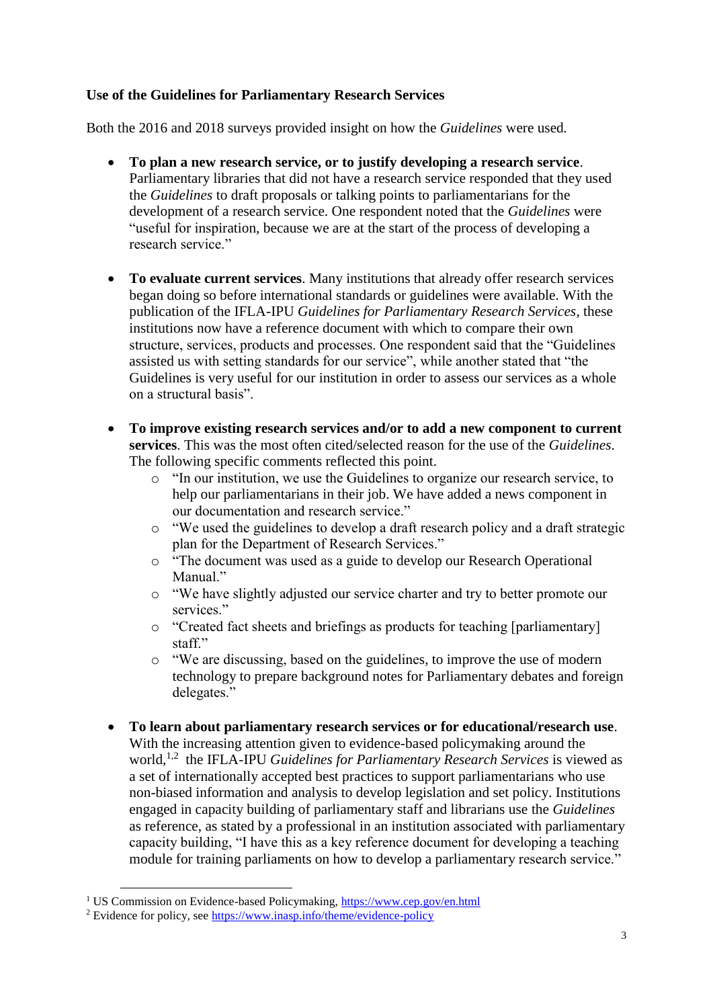## **Use of the Guidelines for Parliamentary Research Services**

Both the 2016 and 2018 surveys provided insight on how the *Guidelines* were used*.*

- **To plan a new research service, or to justify developing a research service**. Parliamentary libraries that did not have a research service responded that they used the *Guidelines* to draft proposals or talking points to parliamentarians for the development of a research service. One respondent noted that the *Guidelines* were "useful for inspiration, because we are at the start of the process of developing a research service."
- **To evaluate current services**. Many institutions that already offer research services began doing so before international standards or guidelines were available. With the publication of the IFLA-IPU *Guidelines for Parliamentary Research Services*, these institutions now have a reference document with which to compare their own structure, services, products and processes. One respondent said that the "Guidelines assisted us with setting standards for our service", while another stated that "the Guidelines is very useful for our institution in order to assess our services as a whole on a structural basis".
- **To improve existing research services and/or to add a new component to current services**. This was the most often cited/selected reason for the use of the *Guidelines*. The following specific comments reflected this point.
	- o "In our institution, we use the Guidelines to organize our research service, to help our parliamentarians in their job. We have added a news component in our documentation and research service."
	- o "We used the guidelines to develop a draft research policy and a draft strategic plan for the Department of Research Services."
	- o "The document was used as a guide to develop our Research Operational Manual."
	- o "We have slightly adjusted our service charter and try to better promote our services."
	- o "Created fact sheets and briefings as products for teaching [parliamentary] staff."
	- o "We are discussing, based on the guidelines, to improve the use of modern technology to prepare background notes for Parliamentary debates and foreign delegates."
- **To learn about parliamentary research services or for educational/research use**. With the increasing attention given to evidence-based policymaking around the world,<sup>1,2</sup> the IFLA-IPU *Guidelines for Parliamentary Research Services* is viewed as a set of internationally accepted best practices to support parliamentarians who use non-biased information and analysis to develop legislation and set policy. Institutions engaged in capacity building of parliamentary staff and librarians use the *Guidelines* as reference, as stated by a professional in an institution associated with parliamentary capacity building, "I have this as a key reference document for developing a teaching module for training parliaments on how to develop a parliamentary research service."

 $\overline{a}$ 

<sup>&</sup>lt;sup>1</sup> US Commission on Evidence-based Policymaking,<https://www.cep.gov/en.html>

<sup>2</sup> Evidence for policy, see<https://www.inasp.info/theme/evidence-policy>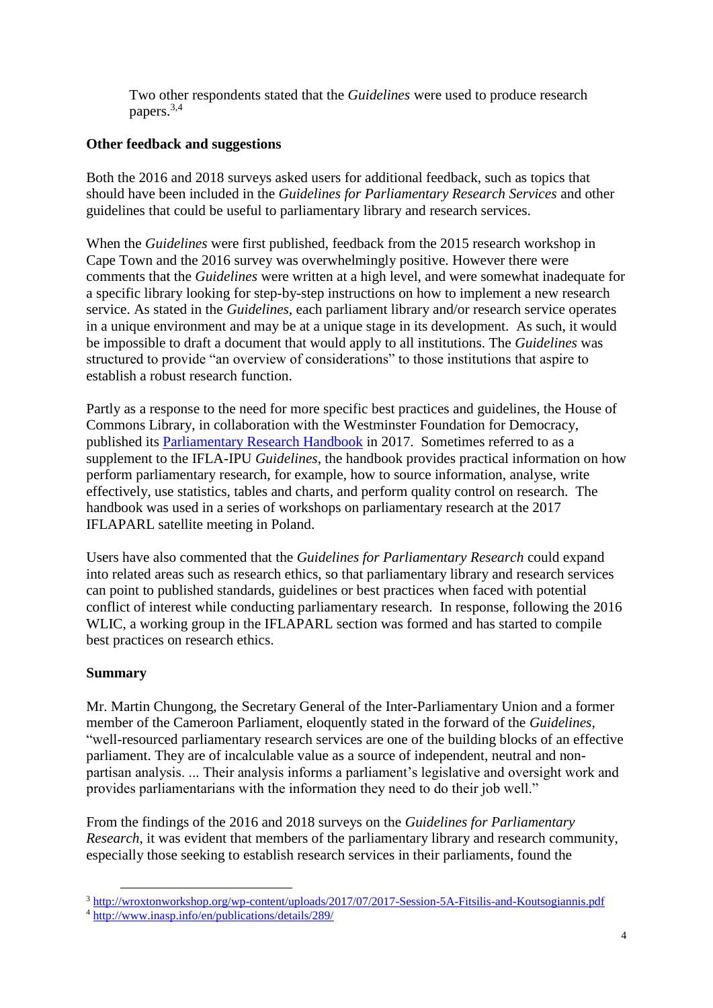Two other respondents stated that the *Guidelines* were used to produce research papers.3,4

### **Other feedback and suggestions**

Both the 2016 and 2018 surveys asked users for additional feedback, such as topics that should have been included in the *Guidelines for Parliamentary Research Services* and other guidelines that could be useful to parliamentary library and research services.

When the *Guidelines* were first published, feedback from the 2015 research workshop in Cape Town and the 2016 survey was overwhelmingly positive. However there were comments that the *Guidelines* were written at a high level, and were somewhat inadequate for a specific library looking for step-by-step instructions on how to implement a new research service. As stated in the *Guidelines,* each parliament library and/or research service operates in a unique environment and may be at a unique stage in its development. As such, it would be impossible to draft a document that would apply to all institutions. The *Guidelines* was structured to provide "an overview of considerations" to those institutions that aspire to establish a robust research function.

Partly as a response to the need for more specific best practices and guidelines, the House of Commons Library, in collaboration with the Westminster Foundation for Democracy, published its [Parliamentary Research Handbook](https://www.parliament.uk/documents/commons-library/HoC-Library-Parliamentary-Research-Handbook.pdf) in 2017. Sometimes referred to as a supplement to the IFLA-IPU *Guidelines*, the handbook provides practical information on how perform parliamentary research, for example, how to source information, analyse, write effectively, use statistics, tables and charts, and perform quality control on research. The handbook was used in a series of workshops on parliamentary research at the 2017 IFLAPARL satellite meeting in Poland.

Users have also commented that the *Guidelines for Parliamentary Research* could expand into related areas such as research ethics, so that parliamentary library and research services can point to published standards, guidelines or best practices when faced with potential conflict of interest while conducting parliamentary research. In response, following the 2016 WLIC, a working group in the IFLAPARL section was formed and has started to compile best practices on research ethics.

## **Summary**

 $\overline{a}$ 

Mr. Martin Chungong, the Secretary General of the Inter-Parliamentary Union and a former member of the Cameroon Parliament, eloquently stated in the forward of the *Guidelines*, "well-resourced parliamentary research services are one of the building blocks of an effective parliament. They are of incalculable value as a source of independent, neutral and nonpartisan analysis. ... Their analysis informs a parliament's legislative and oversight work and provides parliamentarians with the information they need to do their job well."

From the findings of the 2016 and 2018 surveys on the *Guidelines for Parliamentary Research*, it was evident that members of the parliamentary library and research community, especially those seeking to establish research services in their parliaments, found the

<sup>3</sup> <http://wroxtonworkshop.org/wp-content/uploads/2017/07/2017-Session-5A-Fitsilis-and-Koutsogiannis.pdf>

<sup>4</sup> <http://www.inasp.info/en/publications/details/289/>